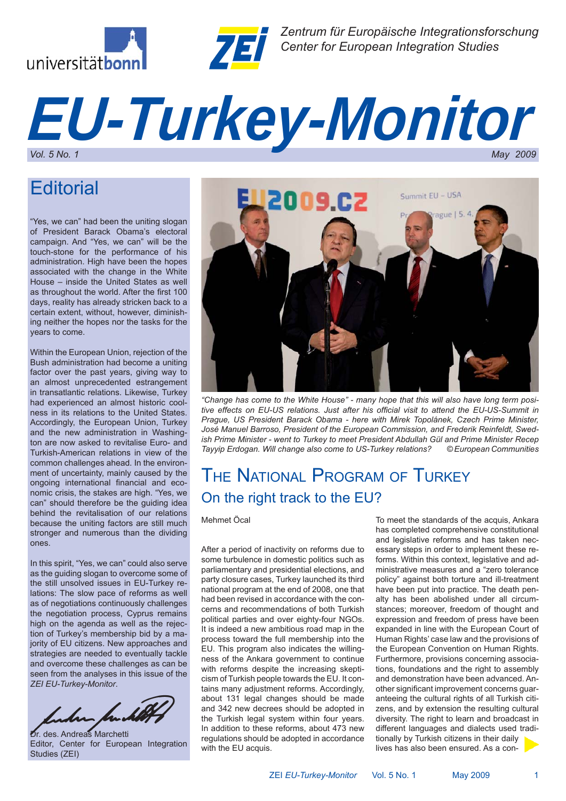



*Zentrum für Europäische Integrationsforschung Center for European Integration Studies*

# *EU-Turkey-Monitor Vol. 5 No. 1 May 2009*

# **Editorial**

"Yes, we can" had been the uniting slogan of President Barack Obama's electoral campaign. And "Yes, we can" will be the touch-stone for the performance of his administration. High have been the hopes associated with the change in the White House – inside the United States as well as throughout the world. After the first 100 days, reality has already stricken back to a certain extent, without, however, diminishing neither the hopes nor the tasks for the years to come.

Within the European Union, rejection of the Bush administration had become a uniting factor over the past years, giving way to an almost unprecedented estrangement in transatlantic relations. Likewise, Turkey had experienced an almost historic coolness in its relations to the United States. Accordingly, the European Union, Turkey and the new administration in Washington are now asked to revitalise Euro- and Turkish-American relations in view of the common challenges ahead. In the environment of uncertainty, mainly caused by the ongoing international financial and economic crisis, the stakes are high. "Yes, we can" should therefore be the guiding idea behind the revitalisation of our relations because the uniting factors are still much stronger and numerous than the dividing ones.

In this spirit, "Yes, we can" could also serve as the guiding slogan to overcome some of the still unsolved issues in EU-Turkey relations: The slow pace of reforms as well as of negotiations continuously challenges the negotiation process, Cyprus remains high on the agenda as well as the rejection of Turkey's membership bid by a majority of EU citizens. New approaches and strategies are needed to eventually tackle and overcome these challenges as can be seen from the analyses in this issue of the *ZEI EU-Turkey-Monitor*.



Dr. des. Andreas Marchetti Editor, Center for European Integration Studies (ZEI)



*"Change has come to the White House" - many hope that this will also have long term posi*tive effects on EU-US relations. Just after his official visit to attend the EU-US-Summit in *Prague, US President Barack Obama - here with Mirek Topolánek, Czech Prime Minister, José Manuel Barroso, President of the European Commission, and Frederik Reinfeldt, Swedish Prime Minister - went to Turkey to meet President Abdullah Gül and Prime Minister Recep Tayyip Erdogan. Will change also come to US-Turkey relations? © European Communities*

# THE NATIONAL PROGRAM OF TURKEY On the right track to the EU?

Mehmet Öcal

After a period of inactivity on reforms due to some turbulence in domestic politics such as parliamentary and presidential elections, and party closure cases, Turkey launched its third national program at the end of 2008, one that had been revised in accordance with the concerns and recommendations of both Turkish political parties and over eighty-four NGOs. It is indeed a new ambitious road map in the process toward the full membership into the EU. This program also indicates the willingness of the Ankara government to continue with reforms despite the increasing skepticism of Turkish people towards the EU. It contains many adjustment reforms. Accordingly, about 131 legal changes should be made and 342 new decrees should be adopted in the Turkish legal system within four years. In addition to these reforms, about 473 new regulations should be adopted in accordance with the EU acquis.

To meet the standards of the acquis, Ankara has completed comprehensive constitutional and legislative reforms and has taken necessary steps in order to implement these reforms. Within this context, legislative and administrative measures and a "zero tolerance policy" against both torture and ill-treatment have been put into practice. The death penalty has been abolished under all circumstances; moreover, freedom of thought and expression and freedom of press have been expanded in line with the European Court of Human Rights' case law and the provisions of the European Convention on Human Rights. Furthermore, provisions concerning associations, foundations and the right to assembly and demonstration have been advanced. Another significant improvement concerns quaranteeing the cultural rights of all Turkish citizens, and by extension the resulting cultural diversity. The right to learn and broadcast in different languages and dialects used traditionally by Turkish citizens in their daily lives has also been ensured. As a con-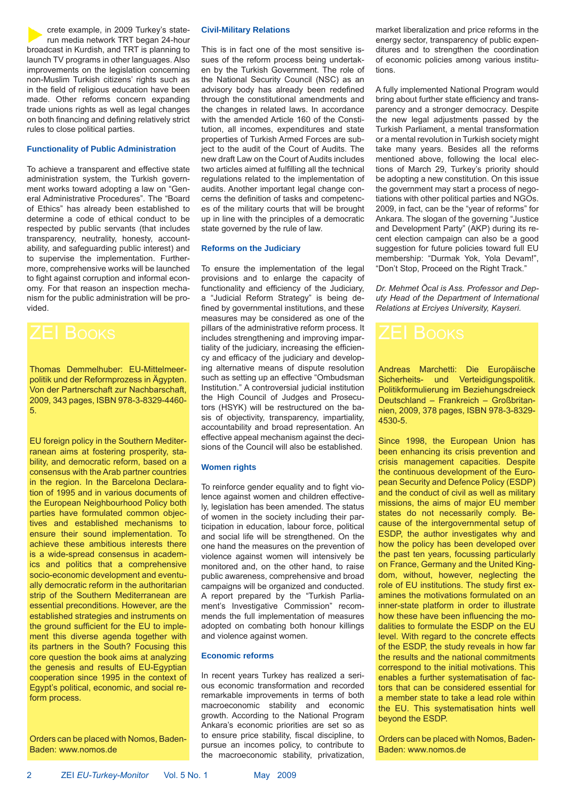crete example, in 2009 Turkey's staterun media network TRT began 24-hour broadcast in Kurdish, and TRT is planning to launch TV programs in other languages. Also improvements on the legislation concerning non-Muslim Turkish citizens' rights such as in the field of religious education have been made. Other reforms concern expanding trade unions rights as well as legal changes on both financing and defining relatively strict rules to close political parties.

### **Functionality of Public Administration**

To achieve a transparent and effective state administration system, the Turkish government works toward adopting a law on "General Administrative Procedures". The "Board of Ethics" has already been established to determine a code of ethical conduct to be respected by public servants (that includes transparency, neutrality, honesty, accountability, and safeguarding public interest) and to supervise the implementation. Furthermore, comprehensive works will be launched to fight against corruption and informal economy. For that reason an inspection mechanism for the public administration will be provided.



Thomas Demmelhuber: EU-Mittelmeerpolitik und der Reformprozess in Ägypten. Von der Partnerschaft zur Nachbarschaft, 2009, 343 pages, ISBN 978-3-8329-4460- 5.

EU foreign policy in the Southern Mediterranean aims at fostering prosperity, stability, and democratic reform, based on a consensus with the Arab partner countries in the region. In the Barcelona Declaration of 1995 and in various documents of the European Neighbourhood Policy both parties have formulated common objectives and established mechanisms to ensure their sound implementation. To achieve these ambitious interests there is a wide-spread consensus in academics and politics that a comprehensive socio-economic development and eventually democratic reform in the authoritarian strip of the Southern Mediterranean are essential preconditions. However, are the established strategies and instruments on the ground sufficient for the EU to implement this diverse agenda together with its partners in the South? Focusing this core question the book aims at analyzing the genesis and results of EU-Egyptian cooperation since 1995 in the context of Egypt's political, economic, and social reform process.

Orders can be placed with Nomos, Baden-Baden: www.nomos.de

### **Civil-Military Relations**

This is in fact one of the most sensitive issues of the reform process being undertaken by the Turkish Government. The role of the National Security Council (NSC) as an advisory body has already been redefined through the constitutional amendments and the changes in related laws. In accordance with the amended Article 160 of the Constitution, all incomes, expenditures and state properties of Turkish Armed Forces are subject to the audit of the Court of Audits. The new draft Law on the Court of Audits includes two articles aimed at fulfilling all the technical regulations related to the implementation of audits. Another important legal change concerns the definition of tasks and competences of the military courts that will be brought up in line with the principles of a democratic state governed by the rule of law.

### **Reforms on the Judiciary**

To ensure the implementation of the legal provisions and to enlarge the capacity of functionality and efficiency of the Judiciary. a "Judicial Reform Strategy" is being defined by governmental institutions, and these measures may be considered as one of the pillars of the administrative reform process. It includes strengthening and improving impartiality of the judiciary, increasing the efficiency and efficacy of the judiciary and developing alternative means of dispute resolution such as setting up an effective "Ombudsman Institution." A controversial judicial institution the High Council of Judges and Prosecutors (HSYK) will be restructured on the basis of objectivity, transparency, impartiality, accountability and broad representation. An effective appeal mechanism against the decisions of the Council will also be established.

### **Women rights**

To reinforce gender equality and to fight violence against women and children effectively, legislation has been amended. The status of women in the society including their participation in education, labour force, political and social life will be strengthened. On the one hand the measures on the prevention of violence against women will intensively be monitored and, on the other hand, to raise public awareness, comprehensive and broad campaigns will be organized and conducted. A report prepared by the "Turkish Parliament's Investigative Commission" recommends the full implementation of measures adopted on combating both honour killings and violence against women.

### **Economic reforms**

In recent years Turkey has realized a serious economic transformation and recorded remarkable improvements in terms of both macroeconomic stability and economic growth. According to the National Program Ankara's economic priorities are set so as to ensure price stability, fiscal discipline, to pursue an incomes policy, to contribute to the macroeconomic stability, privatization, market liberalization and price reforms in the energy sector, transparency of public expenditures and to strengthen the coordination of economic policies among various institutions.

A fully implemented National Program would bring about further state efficiency and transparency and a stronger democracy. Despite the new legal adjustments passed by the Turkish Parliament, a mental transformation or a mental revolution in Turkish society might take many years. Besides all the reforms mentioned above, following the local elections of March 29, Turkey's priority should be adopting a new constitution. On this issue the government may start a process of negotiations with other political parties and NGOs. 2009, in fact, can be the "year of reforms" for Ankara. The slogan of the governing "Justice and Development Party" (AKP) during its recent election campaign can also be a good suggestion for future policies toward full EU membership: "Durmak Yok, Yola Devam!", "Don't Stop, Proceed on the Right Track."

*Dr. Mehmet Öcal is Ass. Professor and Deputy Head of the Department of International Relations at Erciyes University, Kayseri.*

Andreas Marchetti: Die Europäische Sicherheits- und Verteidigungspolitik. Politikformulierung im Beziehungsdreieck Deutschland – Frankreich – Großbritannien, 2009, 378 pages, ISBN 978-3-8329- 4530-5.

Since 1998, the European Union has been enhancing its crisis prevention and crisis management capacities. Despite the continuous development of the European Security and Defence Policy (ESDP) and the conduct of civil as well as military missions, the aims of major EU member states do not necessarily comply. Because of the intergovernmental setup of ESDP, the author investigates why and how the policy has been developed over the past ten years, focussing particularly on France, Germany and the United Kingdom, without, however, neglecting the role of EU institutions. The study first examines the motivations formulated on an inner-state platform in order to illustrate how these have been influencing the modalities to formulate the ESDP on the EU level. With regard to the concrete effects of the ESDP, the study reveals in how far the results and the national commitments correspond to the initial motivations. This enables a further systematisation of factors that can be considered essential for a member state to take a lead role within the EU. This systematisation hints well beyond the ESDP.

Orders can be placed with Nomos, Baden-Baden: www.nomos.de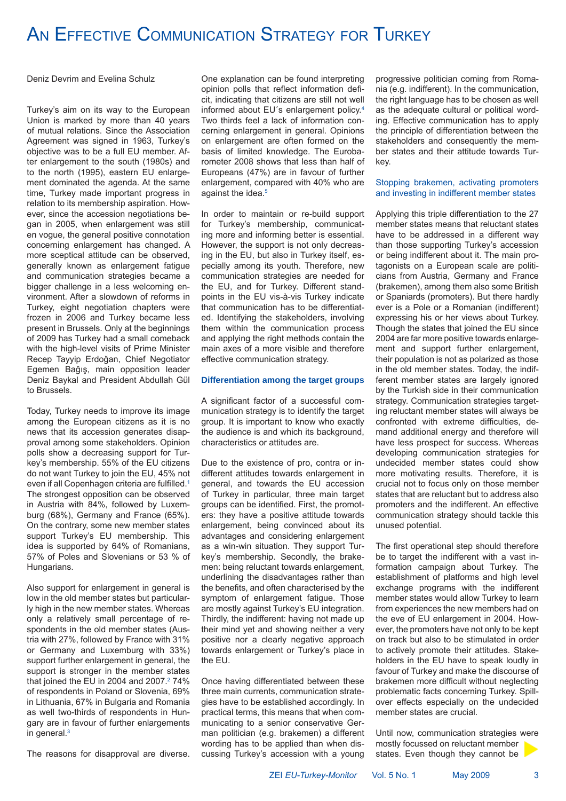# AN EFFECTIVE COMMUNICATION STRATEGY FOR TURKEY

Deniz Devrim and Evelina Schulz

Turkey's aim on its way to the European Union is marked by more than 40 years of mutual relations. Since the Association Agreement was signed in 1963, Turkey's objective was to be a full EU member. After enlargement to the south (1980s) and to the north (1995), eastern EU enlargement dominated the agenda. At the same time, Turkey made important progress in relation to its membership aspiration. However, since the accession negotiations began in 2005, when enlargement was still en vogue, the general positive connotation concerning enlargement has changed. A more sceptical attitude can be observed, generally known as enlargement fatigue and communication strategies became a bigger challenge in a less welcoming environment. After a slowdown of reforms in Turkey, eight negotiation chapters were frozen in 2006 and Turkey became less present in Brussels. Only at the beginnings of 2009 has Turkey had a small comeback with the high-level visits of Prime Minister Recep Tayyip Erdoğan, Chief Negotiator Egemen Bağış, main opposition leader Deniz Baykal and President Abdullah Gül to Brussels.

Today, Turkey needs to improve its image among the European citizens as it is no news that its accession generates disapproval among some stakeholders. Opinion polls show a decreasing support for Turkey's membership. 55% of the EU citizens do not want Turkey to join the EU, 45% not even if all Copenhagen criteria are fulfilled.<sup>1</sup> The strongest opposition can be observed in Austria with 84%, followed by Luxemburg (68%), Germany and France (65%). On the contrary, some new member states support Turkey's EU membership. This idea is supported by 64% of Romanians, 57% of Poles and Slovenians or 53 % of Hungarians.

Also support for enlargement in general is low in the old member states but particularly high in the new member states. Whereas only a relatively small percentage of respondents in the old member states (Austria with 27%, followed by France with 31% or Germany and Luxemburg with 33%) support further enlargement in general, the support is stronger in the member states that joined the EU in 2004 and 2007. $2$  74% of respondents in Poland or Slovenia, 69% in Lithuania, 67% in Bulgaria and Romania as well two-thirds of respondents in Hungary are in favour of further enlargements in general.3

The reasons for disapproval are diverse.

One explanation can be found interpreting opinion polls that reflect information deficit, indicating that citizens are still not well informed about EU´s enlargement policy.4 Two thirds feel a lack of information concerning enlargement in general. Opinions on enlargement are often formed on the basis of limited knowledge. The Eurobarometer 2008 shows that less than half of Europeans (47%) are in favour of further enlargement, compared with 40% who are against the idea.<sup>5</sup>

In order to maintain or re-build support for Turkey's membership, communicating more and informing better is essential. However, the support is not only decreasing in the EU, but also in Turkey itself, especially among its youth. Therefore, new communication strategies are needed for the EU, and for Turkey. Different standpoints in the EU vis-à-vis Turkey indicate that communication has to be differentiated. Identifying the stakeholders, involving them within the communication process and applying the right methods contain the main axes of a more visible and therefore effective communication strategy.

### **Differentiation among the target groups**

A significant factor of a successful communication strategy is to identify the target group. It is important to know who exactly the audience is and which its background, characteristics or attitudes are.

Due to the existence of pro, contra or indifferent attitudes towards enlargement in general, and towards the EU accession of Turkey in particular, three main target groups can be identified. First, the promoters: they have a positive attitude towards enlargement, being convinced about its advantages and considering enlargement as a win-win situation. They support Turkey's membership. Secondly, the brakemen: being reluctant towards enlargement, underlining the disadvantages rather than the benefits, and often characterised by the symptom of enlargement fatigue. Those are mostly against Turkey's EU integration. Thirdly, the indifferent: having not made up their mind yet and showing neither a very positive nor a clearly negative approach towards enlargement or Turkey's place in the EU.

Once having differentiated between these three main currents, communication strategies have to be established accordingly. In practical terms, this means that when communicating to a senior conservative German politician (e.g. brakemen) a different wording has to be applied than when discussing Turkey's accession with a young

progressive politician coming from Romania (e.g. indifferent). In the communication, the right language has to be chosen as well as the adequate cultural or political wording. Effective communication has to apply the principle of differentiation between the stakeholders and consequently the member states and their attitude towards Turkey.

### Stopping brakemen, activating promoters and investing in indifferent member states

Applying this triple differentiation to the 27 member states means that reluctant states have to be addressed in a different way than those supporting Turkey's accession or being indifferent about it. The main protagonists on a European scale are politicians from Austria, Germany and France (brakemen), among them also some British or Spaniards (promoters). But there hardly ever is a Pole or a Romanian (indifferent) expressing his or her views about Turkey. Though the states that joined the EU since 2004 are far more positive towards enlargement and support further enlargement, their population is not as polarized as those in the old member states. Today, the indifferent member states are largely ignored by the Turkish side in their communication strategy. Communication strategies targeting reluctant member states will always be confronted with extreme difficulties, demand additional energy and therefore will have less prospect for success. Whereas developing communication strategies for undecided member states could show more motivating results. Therefore, it is crucial not to focus only on those member states that are reluctant but to address also promoters and the indifferent. An effective communication strategy should tackle this unused potential.

The first operational step should therefore be to target the indifferent with a vast information campaign about Turkey. The establishment of platforms and high level exchange programs with the indifferent member states would allow Turkey to learn from experiences the new members had on the eve of EU enlargement in 2004. However, the promoters have not only to be kept on track but also to be stimulated in order to actively promote their attitudes. Stakeholders in the EU have to speak loudly in favour of Turkey and make the discourse of brakemen more difficult without neglecting problematic facts concerning Turkey. Spillover effects especially on the undecided member states are crucial.

Until now, communication strategies were mostly focussed on reluctant member states. Even though they cannot be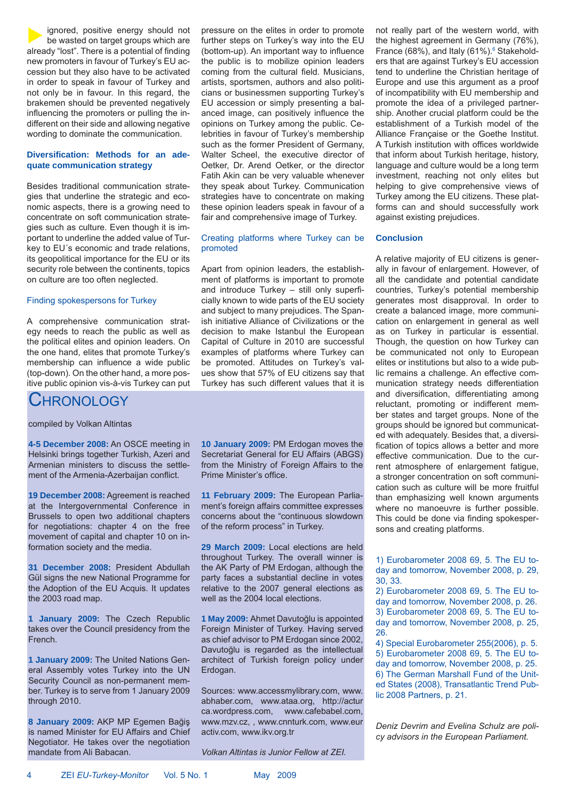ignored, positive energy should not be wasted on target groups which are already "lost". There is a potential of finding new promoters in favour of Turkey's EU accession but they also have to be activated in order to speak in favour of Turkey and not only be in favour. In this regard, the brakemen should be prevented negatively influencing the promoters or pulling the indifferent on their side and allowing negative wording to dominate the communication.

### Diversification: Methods for an ade**quate communication strategy**

Besides traditional communication strategies that underline the strategic and economic aspects, there is a growing need to concentrate on soft communication strategies such as culture. Even though it is important to underline the added value of Turkey to EU´s economic and trade relations, its geopolitical importance for the EU or its security role between the continents, topics on culture are too often neglected.

### Finding spokespersons for Turkey

A comprehensive communication strategy needs to reach the public as well as the political elites and opinion leaders. On the one hand, elites that promote Turkey's membership can influence a wide public (top-down). On the other hand, a more positive public opinion vis-à-vis Turkey can put

### **CHRONOLOGY**

compiled by Volkan Altintas

**4-5 December 2008:** An OSCE meeting in Helsinki brings together Turkish, Azeri and Armenian ministers to discuss the settlement of the Armenia-Azerbaijan conflict.

**19 December 2008:** Agreement is reached at the Intergovernmental Conference in Brussels to open two additional chapters for negotiations: chapter 4 on the free movement of capital and chapter 10 on information society and the media.

**31 December 2008:** President Abdullah Gül signs the new National Programme for the Adoption of the EU Acquis. It updates the 2003 road map.

**1 January 2009:** The Czech Republic takes over the Council presidency from the French.

**1 January 2009:** The United Nations General Assembly votes Turkey into the UN Security Council as non-permanent member. Turkey is to serve from 1 January 2009 through 2010.

**8 January 2009:** AKP MP Egemen Bağiş is named Minister for EU Affairs and Chief Negotiator. He takes over the negotiation mandate from Ali Babacan.

pressure on the elites in order to promote further steps on Turkey's way into the EU (bottom-up). An important way to influence the public is to mobilize opinion leaders coming from the cultural field. Musicians, artists, sportsmen, authors and also politicians or businessmen supporting Turkey's EU accession or simply presenting a balanced image, can positively influence the opinions on Turkey among the public. Celebrities in favour of Turkey's membership such as the former President of Germany, Walter Scheel, the executive director of Oetker, Dr. Arend Oetker, or the director Fatih Akin can be very valuable whenever they speak about Turkey. Communication strategies have to concentrate on making these opinion leaders speak in favour of a fair and comprehensive image of Turkey.

### Creating platforms where Turkey can be promoted

Apart from opinion leaders, the establishment of platforms is important to promote and introduce Turkey - still only superficially known to wide parts of the EU society and subject to many prejudices. The Spanish initiative Alliance of Civilizations or the decision to make Istanbul the European Capital of Culture in 2010 are successful examples of platforms where Turkey can be promoted. Attitudes on Turkey's values show that 57% of EU citizens say that Turkey has such different values that it is

**10 January 2009:** PM Erdogan moves the Secretariat General for EU Affairs (ABGS) from the Ministry of Foreign Affairs to the Prime Minister's office.

**11 February 2009:** The European Parliament's foreign affairs committee expresses concerns about the "continuous slowdown of the reform process" in Turkey.

**29 March 2009:** Local elections are held throughout Turkey. The overall winner is the AK Party of PM Erdogan, although the party faces a substantial decline in votes relative to the 2007 general elections as well as the 2004 local elections.

**1 May 2009:** Ahmet Davutoğlu is appointed Foreign Minister of Turkey. Having served as chief advisor to PM Erdogan since 2002, Davutoğlu is regarded as the intellectual architect of Turkish foreign policy under Erdogan.

Sources: www.accessmylibrary.com, www. abhaber.com, www.ataa.org, http://actur ca.wordpress.com, www.cafebabel.com, www.mzv.cz, , www.cnnturk.com, www.eur activ.com, www.ikv.org.tr

*Volkan Altintas is Junior Fellow at ZEI.*

not really part of the western world, with the highest agreement in Germany (76%), France (68%), and Italy (61%). $6$  Stakeholders that are against Turkey's EU accession tend to underline the Christian heritage of Europe and use this argument as a proof of incompatibility with EU membership and promote the idea of a privileged partnership. Another crucial platform could be the establishment of a Turkish model of the Alliance Française or the Goethe Institut. A Turkish institution with offices worldwide that inform about Turkish heritage, history, language and culture would be a long term investment, reaching not only elites but helping to give comprehensive views of Turkey among the EU citizens. These platforms can and should successfully work against existing prejudices.

### **Conclusion**

A relative majority of EU citizens is generally in favour of enlargement. However, of all the candidate and potential candidate countries, Turkey's potential membership generates most disapproval. In order to create a balanced image, more communication on enlargement in general as well as on Turkey in particular is essential. Though, the question on how Turkey can be communicated not only to European elites or institutions but also to a wide public remains a challenge. An effective communication strategy needs differentiation and diversification, differentiating among reluctant, promoting or indifferent member states and target groups. None of the groups should be ignored but communicated with adequately. Besides that, a diversification of topics allows a better and more effective communication. Due to the current atmosphere of enlargement fatigue, a stronger concentration on soft communication such as culture will be more fruitful than emphasizing well known arguments where no manoeuvre is further possible. This could be done via finding spokespersons and creating platforms.

1) Eurobarometer 2008 69, 5. The EU today and tomorrow, November 2008, p. 29, 30, 33.

2) Eurobarometer 2008 69, 5. The EU today and tomorrow, November 2008, p. 26. 3) Eurobarometer 2008 69, 5. The EU today and tomorrow, November 2008, p. 25, 26.

4) Special Eurobarometer 255(2006), p. 5. 5) Eurobarometer 2008 69, 5. The EU today and tomorrow, November 2008, p. 25. 6) The German Marshall Fund of the United States (2008), Transatlantic Trend Public 2008 Partners, p. 21.

*Deniz Devrim and Evelina Schulz are policy advisors in the European Parliament.*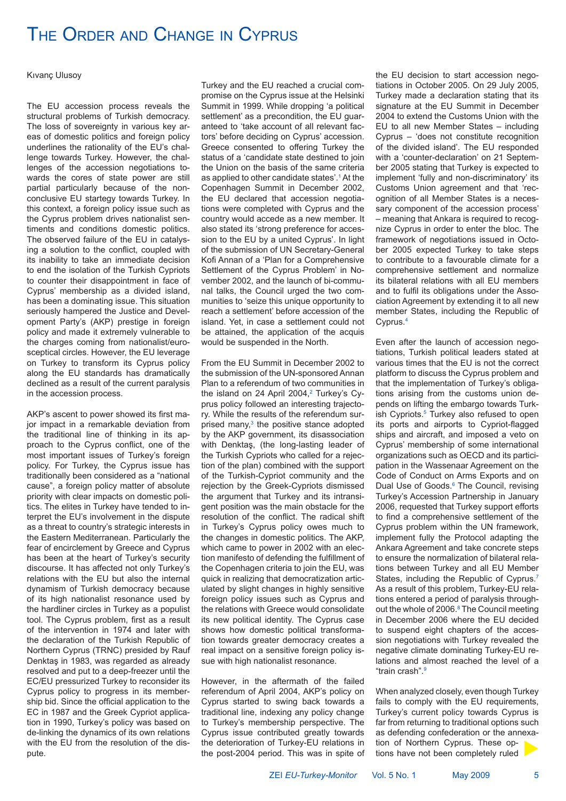## THE ORDER AND CHANGE IN CYPRUS

Kıvanç Ulusoy

The EU accession process reveals the structural problems of Turkish democracy. The loss of sovereignty in various key areas of domestic politics and foreign policy underlines the rationality of the EU's challenge towards Turkey. However, the challenges of the accession negotiations towards the cores of state power are still partial particularly because of the nonconclusive EU startegy towards Turkey. In this context, a foreign policy issue such as the Cyprus problem drives nationalist sentiments and conditions domestic politics. The observed failure of the EU in catalysing a solution to the conflict, coupled with its inability to take an immediate decision to end the isolation of the Turkish Cypriots to counter their disappointment in face of Cyprus' membership as a divided island, has been a dominating issue. This situation seriously hampered the Justice and Development Party's (AKP) prestige in foreign policy and made it extremely vulnerable to the charges coming from nationalist/eurosceptical circles. However, the EU leverage on Turkey to transform its Cyprus policy along the EU standards has dramatically declined as a result of the current paralysis in the accession process.

AKP's ascent to power showed its first major impact in a remarkable deviation from the traditional line of thinking in its approach to the Cyprus conflict, one of the most important issues of Turkey's foreign policy. For Turkey, the Cyprus issue has traditionally been considered as a "national cause", a foreign policy matter of absolute priority with clear impacts on domestic politics. The elites in Turkey have tended to interpret the EU's involvement in the dispute as a threat to country's strategic interests in the Eastern Mediterranean. Particularly the fear of encirclement by Greece and Cyprus has been at the heart of Turkey's security discourse. It has affected not only Turkey's relations with the EU but also the internal dynamism of Turkish democracy because of its high nationalist resonance used by the hardliner circles in Turkey as a populist tool. The Cyprus problem, first as a result of the intervention in 1974 and later with the declaration of the Turkish Republic of Northern Cyprus (TRNC) presided by Rauf Denktaş in 1983, was regarded as already resolved and put to a deep-freezer until the EC/EU pressurized Turkey to reconsider its Cyprus policy to progress in its membership bid. Since the official application to the EC in 1987 and the Greek Cypriot application in 1990, Turkey's policy was based on de-linking the dynamics of its own relations with the EU from the resolution of the dispute.

Turkey and the EU reached a crucial compromise on the Cyprus issue at the Helsinki Summit in 1999. While dropping 'a political settlement' as a precondition, the EU guaranteed to 'take account of all relevant factors' before deciding on Cyprus' accession. Greece consented to offering Turkey the status of a 'candidate state destined to join the Union on the basis of the same criteria as applied to other candidate states'.1 At the Copenhagen Summit in December 2002, the EU declared that accession negotiations were completed with Cyprus and the country would accede as a new member. It also stated its 'strong preference for accession to the EU by a united Cyprus'. In light of the submission of UN Secretary-General Kofi Annan of a 'Plan for a Comprehensive Settlement of the Cyprus Problem' in November 2002, and the launch of bi-communal talks, the Council urged the two communities to 'seize this unique opportunity to reach a settlement' before accession of the island. Yet, in case a settlement could not be attained, the application of the acquis would be suspended in the North.

From the EU Summit in December 2002 to the submission of the UN-sponsored Annan Plan to a referendum of two communities in the island on 24 April 2004,<sup>2</sup> Turkey's Cyprus policy followed an interesting trajectory. While the results of the referendum surprised many,<sup>3</sup> the positive stance adopted by the AKP government, its disassociation with Denktaş, (the long-lasting leader of the Turkish Cypriots who called for a rejection of the plan) combined with the support of the Turkish-Cypriot community and the rejection by the Greek-Cypriots dismissed the argument that Turkey and its intransigent position was the main obstacle for the resolution of the conflict. The radical shift in Turkey's Cyprus policy owes much to the changes in domestic politics. The AKP, which came to power in 2002 with an election manifesto of defending the fulfillment of the Copenhagen criteria to join the EU, was quick in realizing that democratization articulated by slight changes in highly sensitive foreign policy issues such as Cyprus and the relations with Greece would consolidate its new political identity. The Cyprus case shows how domestic political transformation towards greater democracy creates a real impact on a sensitive foreign policy issue with high nationalist resonance.

However, in the aftermath of the failed referendum of April 2004, AKP's policy on Cyprus started to swing back towards a traditional line, indexing any policy change to Turkey's membership perspective. The Cyprus issue contributed greatly towards the deterioration of Turkey-EU relations in the post-2004 period. This was in spite of the EU decision to start accession negotiations in October 2005. On 29 July 2005, Turkey made a declaration stating that its signature at the EU Summit in December 2004 to extend the Customs Union with the EU to all new Member States – including Cyprus – 'does not constitute recognition of the divided island'. The EU responded with a 'counter-declaration' on 21 September 2005 stating that Turkey is expected to implement 'fully and non-discriminatory' its Customs Union agreement and that 'recognition of all Member States is a necessary component of the accession process' – meaning that Ankara is required to recognize Cyprus in order to enter the bloc. The framework of negotiations issued in October 2005 expected Turkey to take steps to contribute to a favourable climate for a comprehensive settlement and normalize its bilateral relations with all EU members and to fulfil its obligations under the Association Agreement by extending it to all new member States, including the Republic of Cyprus.4

Even after the launch of accession negotiations, Turkish political leaders stated at various times that the EU is not the correct platform to discuss the Cyprus problem and that the implementation of Turkey's obligations arising from the customs union depends on lifting the embargo towards Turkish Cypriots.<sup>5</sup> Turkey also refused to open its ports and airports to Cypriot-flagged ships and aircraft, and imposed a veto on Cyprus' membership of some international organizations such as OECD and its participation in the Wassenaar Agreement on the Code of Conduct on Arms Exports and on Dual Use of Goods.<sup>6</sup> The Council, revising Turkey's Accession Partnership in January 2006, requested that Turkey support efforts to find a comprehensive settlement of the Cyprus problem within the UN framework, implement fully the Protocol adapting the Ankara Agreement and take concrete steps to ensure the normalization of bilateral relations between Turkey and all EU Member States, including the Republic of Cyprus.<sup>7</sup> As a result of this problem, Turkey-EU relations entered a period of paralysis throughout the whole of 2006.<sup>8</sup> The Council meeting in December 2006 where the EU decided to suspend eight chapters of the accession negotiations with Turkey revealed the negative climate dominating Turkey-EU relations and almost reached the level of a "train crash".9

When analyzed closely, even though Turkey fails to comply with the EU requirements, Turkey's current policy towards Cyprus is far from returning to traditional options such as defending confederation or the annexation of Northern Cyprus. These options have not been completely ruled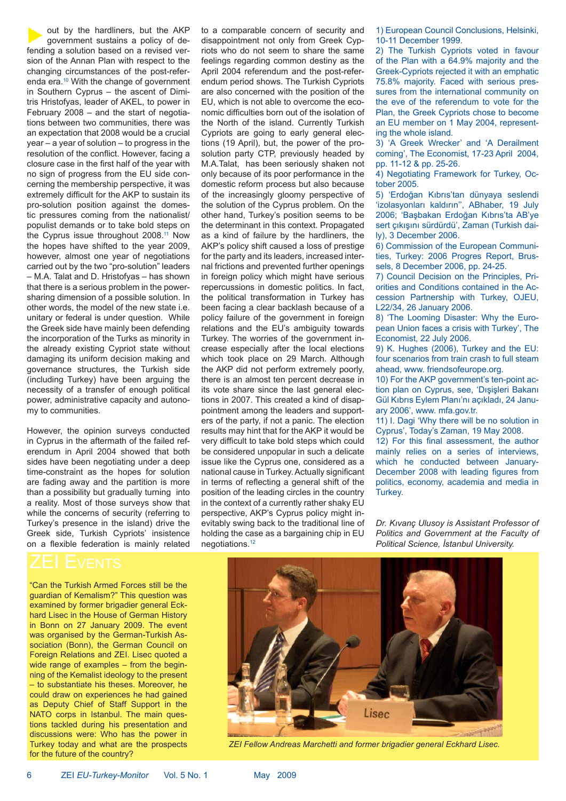out by the hardliners, but the AKP government sustains a policy of defending a solution based on a revised version of the Annan Plan with respect to the changing circumstances of the post-referenda era.10 With the change of government in Southern Cyprus – the ascent of Dimitris Hristofyas, leader of AKEL, to power in February 2008 – and the start of negotiations between two communities, there was an expectation that 2008 would be a crucial year – a year of solution – to progress in the resolution of the conflict. However, facing a closure case in the first half of the year with no sign of progress from the EU side concerning the membership perspective, it was extremely difficult for the AKP to sustain its pro-solution position against the domestic pressures coming from the nationalist/ populist demands or to take bold steps on the Cyprus issue throughout 2008.<sup>11</sup> Now the hopes have shifted to the year 2009, however, almost one year of negotiations carried out by the two "pro-solution" leaders – M.A. Talat and D. Hristofyas – has shown that there is a serious problem in the powersharing dimension of a possible solution. In other words, the model of the new state i.e. unitary or federal is under question. While the Greek side have mainly been defending the incorporation of the Turks as minority in the already existing Cypriot state without damaging its uniform decision making and governance structures, the Turkish side (including Turkey) have been arguing the necessity of a transfer of enough political power, administrative capacity and autonomy to communities.

However, the opinion surveys conducted in Cyprus in the aftermath of the failed referendum in April 2004 showed that both sides have been negotiating under a deep time-constraint as the hopes for solution are fading away and the partition is more than a possibility but gradually turning into a reality. Most of those surveys show that while the concerns of security (referring to Turkey's presence in the island) drive the Greek side, Turkish Cypriots' insistence on a flexible federation is mainly related

"Can the Turkish Armed Forces still be the guardian of Kemalism?" This question was examined by former brigadier general Eckhard Lisec in the House of German History in Bonn on 27 January 2009. The event was organised by the German-Turkish Association (Bonn), the German Council on Foreign Relations and ZEI. Lisec quoted a wide range of examples – from the beginning of the Kemalist ideology to the present – to substantiate his theses. Moreover, he could draw on experiences he had gained as Deputy Chief of Staff Support in the NATO corps in Istanbul. The main questions tackled during his presentation and discussions were: Who has the power in Turkey today and what are the prospects for the future of the country?

to a comparable concern of security and disappointment not only from Greek Cypriots who do not seem to share the same feelings regarding common destiny as the April 2004 referendum and the post-referendum period shows. The Turkish Cypriots are also concerned with the position of the EU, which is not able to overcome the economic difficulties born out of the isolation of the North of the island. Currently Turkish Cypriots are going to early general elections (19 April), but, the power of the prosolution party CTP, previously headed by M.A.Talat, has been seriously shaken not only because of its poor performance in the domestic reform process but also because of the increasingly gloomy perspective of the solution of the Cyprus problem. On the other hand, Turkey's position seems to be the determinant in this context. Propagated as a kind of failure by the hardliners, the AKP's policy shift caused a loss of prestige for the party and its leaders, increased internal frictions and prevented further openings in foreign policy which might have serious repercussions in domestic politics. In fact, the political transformation in Turkey has been facing a clear backlash because of a policy failure of the government in foreign relations and the EU's ambiguity towards Turkey. The worries of the government increase especially after the local elections which took place on 29 March. Although the AKP did not perform extremely poorly, there is an almost ten percent decrease in its vote share since the last general elections in 2007. This created a kind of disappointment among the leaders and supporters of the party, if not a panic. The election results may hint that for the AKP it would be very difficult to take bold steps which could be considered unpopular in such a delicate issue like the Cyprus one, considered as a national cause in Turkey. Actually significant in terms of reflecting a general shift of the position of the leading circles in the country in the context of a currently rather shaky EU perspective, AKP's Cyprus policy might inevitably swing back to the traditional line of holding the case as a bargaining chip in EU negotiations.12

1) European Council Conclusions, Helsinki, 10-11 December 1999.

2) The Turkish Cypriots voted in favour of the Plan with a 64.9% majority and the Greek-Cypriots rejected it with an emphatic 75.8% majority. Faced with serious pressures from the international community on the eve of the referendum to vote for the Plan, the Greek Cypriots chose to become an EU member on 1 May 2004, representing the whole island.

3) 'A Greek Wrecker' and 'A Derailment coming', The Economist, 17-23 April 2004, pp. 11-12 & pp. 25-26.

4) Negotiating Framework for Turkey, October 2005.

5) 'Erdoğan Kıbrıs'tan dünyaya seslendi 'izolasyonları kaldırın'', ABhaber, 19 July 2006; 'Başbakan Erdoğan Kıbrıs'ta AB'ye sert çıkışını sürdürdü', Zaman (Turkish daily), 3 December 2006.

6) Commission of the European Communities, Turkey: 2006 Progres Report, Brussels, 8 December 2006, pp. 24-25.

7) Council Decision on the Principles, Priorities and Conditions contained in the Accession Partnership with Turkey, OJEU, L22/34, 26 January 2006.

8) 'The Looming Disaster: Why the European Union faces a crisis with Turkey', The Economist, 22 July 2006.

9) K. Hughes (2006), Turkey and the EU: four scenarios from train crash to full steam ahead, www. friendsofeurope.org.

10) For the AKP government's ten-point action plan on Cyprus, see, 'Dışişleri Bakanı Gül Kıbrıs Eylem Planı'nı açıkladı, 24 January 2006', www. mfa.gov.tr.

11) I. Dagi 'Why there will be no solution in Cyprus', Today's Zaman, 19 May 2008.

12) For this final assessment, the author mainly relies on a series of interviews, which he conducted between January-December 2008 with leading figures from politics, economy, academia and media in Turkey.

*Dr. Kıvanç Ulusoy is Assistant Professor of Politics and Government at the Faculty of Political Science, İstanbul University.*



*ZEI Fellow Andreas Marchetti and former brigadier general Eckhard Lisec.*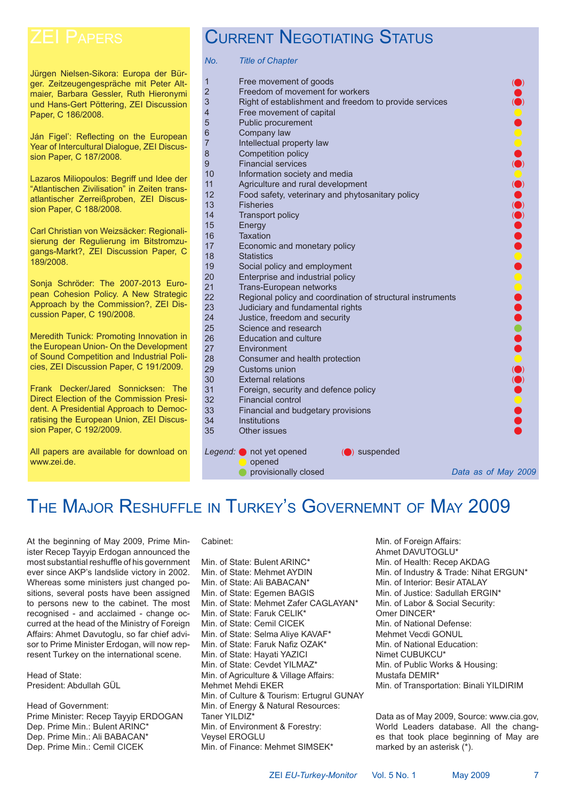Jürgen Nielsen-Sikora: Europa der Bürger. Zeitzeugengespräche mit Peter Altmaier, Barbara Gessler, Ruth Hieronymi und Hans-Gert Pöttering, ZEI Discussion Paper, C 186/2008.

Ján Figel': Reflecting on the European Year of Intercultural Dialogue, ZEI Discussion Paper, C 187/2008.

Lazaros Miliopoulos: Begriff und Idee der "Atlantischen Zivilisation" in Zeiten transatlantischer Zerreißproben, ZEI Discussion Paper, C 188/2008.

Carl Christian von Weizsäcker: Regionalisierung der Regulierung im Bitstromzugangs-Markt?, ZEI Discussion Paper, C 189/2008.

Sonja Schröder: The 2007-2013 European Cohesion Policy. A New Strategic Approach by the Commission?, ZEI Discussion Paper, C 190/2008.

Meredith Tunick: Promoting Innovation in the European Union- On the Development of Sound Competition and Industrial Policies, ZEI Discussion Paper, C 191/2009.

Frank Decker/Jared Sonnicksen: The Direct Election of the Commission President. A Presidential Approach to Democratising the European Union, ZEI Discussion Paper, C 192/2009.

All papers are available for download on www.zei.de.

# CURRENT NEGOTIATING STATUS

*No. Title of Chapter*

| 1<br>$\overline{2}$ | Free movement of goods<br>Freedom of movement for workers         |                     |  |
|---------------------|-------------------------------------------------------------------|---------------------|--|
| 3                   | Right of establishment and freedom to provide services            |                     |  |
| 4                   |                                                                   |                     |  |
|                     | Free movement of capital<br>Public procurement                    |                     |  |
| 5                   |                                                                   |                     |  |
| 6                   | Company law                                                       |                     |  |
| 7                   | Intellectual property law                                         |                     |  |
| 8                   | Competition policy                                                |                     |  |
| 9                   | <b>Financial services</b>                                         |                     |  |
| 10                  | Information society and media                                     |                     |  |
| 11<br>12            | Agriculture and rural development                                 |                     |  |
| 13                  | Food safety, veterinary and phytosanitary policy                  |                     |  |
|                     | <b>Fisheries</b>                                                  |                     |  |
| 14                  | <b>Transport policy</b>                                           |                     |  |
| 15                  | Energy<br><b>Taxation</b>                                         |                     |  |
| 16                  |                                                                   |                     |  |
| 17                  | Economic and monetary policy                                      |                     |  |
| 18                  | <b>Statistics</b>                                                 |                     |  |
| 19                  | Social policy and employment                                      |                     |  |
| 20<br>21            | Enterprise and industrial policy                                  |                     |  |
| 22                  | Trans-European networks                                           |                     |  |
| 23                  | Regional policy and coordination of structural instruments        |                     |  |
| 24                  | Judiciary and fundamental rights<br>Justice, freedom and security |                     |  |
| 25                  | Science and research                                              |                     |  |
| 26                  | <b>Education and culture</b>                                      |                     |  |
| 27                  | Environment                                                       |                     |  |
| 28                  | Consumer and health protection                                    |                     |  |
| 29                  | Customs union                                                     |                     |  |
| 30                  | <b>External relations</b>                                         |                     |  |
| 31                  |                                                                   |                     |  |
| 32                  | Foreign, security and defence policy<br><b>Financial control</b>  |                     |  |
| 33                  | Financial and budgetary provisions                                |                     |  |
| 34                  | Institutions                                                      |                     |  |
| 35                  | Other issues                                                      |                     |  |
|                     |                                                                   |                     |  |
|                     | Legend: not yet opened<br>(O) suspended                           |                     |  |
|                     | opened                                                            |                     |  |
|                     | provisionally closed                                              | Data as of May 2009 |  |
|                     |                                                                   |                     |  |
|                     |                                                                   |                     |  |

# THE MAJOR RESHUFFLE IN TURKEY'S GOVERNEMNT OF MAY 2009

At the beginning of May 2009, Prime Minister Recep Tayyip Erdogan announced the most substantial reshuffle of his government ever since AKP's landslide victory in 2002. Whereas some ministers just changed positions, several posts have been assigned to persons new to the cabinet. The most recognised - and acclaimed - change occurred at the head of the Ministry of Foreign Affairs: Ahmet Davutoglu, so far chief advisor to Prime Minister Erdogan, will now represent Turkey on the international scene.

Head of State: President: Abdullah GÜL

Head of Government: Prime Minister: Recep Tayyip ERDOGAN Dep. Prime Min.: Bulent ARINC\* Dep. Prime Min.: Ali BABACAN\* Dep. Prime Min.: Cemil CICEK

### Cabinet:

Min. of State: Bulent ARINC\* Min. of State: Mehmet AYDIN Min. of State: Ali BABACAN\* Min. of State: Egemen BAGIS Min. of State: Mehmet Zafer CAGLAYAN\* Min. of State: Faruk CELIK\* Min. of State: Cemil CICEK Min. of State: Selma Aliye KAVAF\* Min. of State: Faruk Nafiz OZAK\* Min. of State: Hayati YAZICI Min. of State: Cevdet YILMAZ\* Min. of Agriculture & Village Affairs: Mehmet Mehdi EKER Min. of Culture & Tourism: Ertugrul GUNAY Min. of Energy & Natural Resources: Taner YII DIZ<sup>\*</sup> Min. of Environment & Forestry: Veysel EROGLU Min. of Finance: Mehmet SIMSEK\*

Min. of Foreign Affairs: Ahmet DAVUTOGLU\* Min. of Health: Recep AKDAG Min. of Industry & Trade: Nihat ERGUN\* Min. of Interior: Besir ATALAY Min. of Justice: Sadullah ERGIN\* Min. of Labor & Social Security: Omer DINCER\* Min. of National Defense: Mehmet Vecdi GONUL Min. of National Education: Nimet CUBUKCU\* Min. of Public Works & Housing: Mustafa DEMIR\* Min. of Transportation: Binali YILDIRIM

Data as of May 2009, Source: www.cia.gov, World Leaders database. All the changes that took place beginning of May are marked by an asterisk (\*).